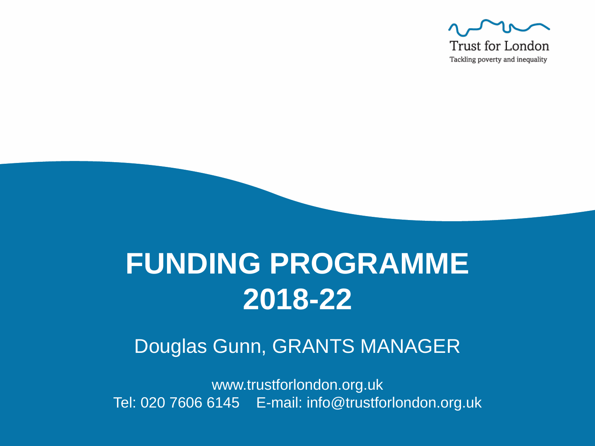

## **FUNDING PROGRAMME 2018-22**

#### Douglas Gunn, GRANTS MANAGER

www.trustforlondon.org.uk Tel: 020 7606 6145 E-mail: info@trustforlondon.org.uk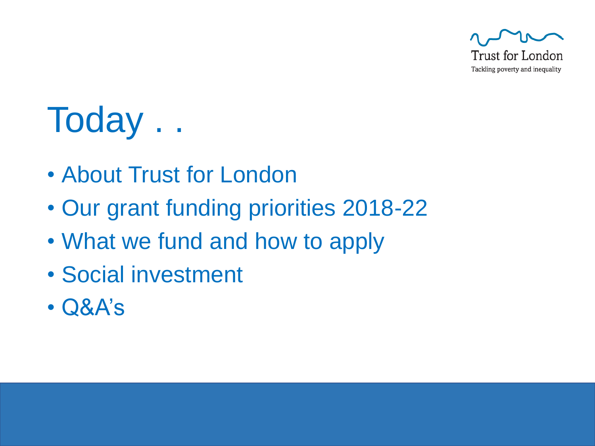

# Today . .

- About Trust for London
- Our grant funding priorities 2018-22
- What we fund and how to apply
- Social investment
- Q&A's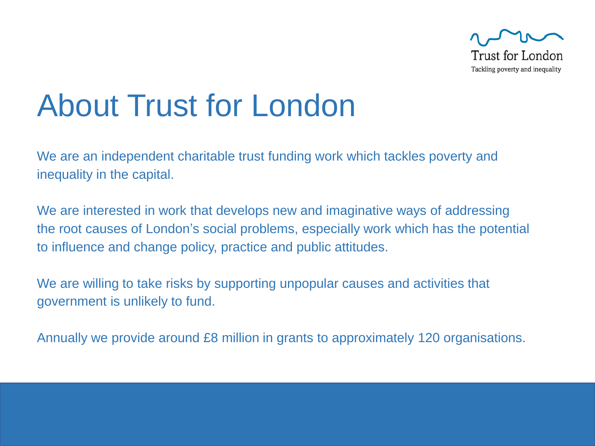

## About Trust for London

We are an independent charitable trust funding work which tackles poverty and inequality in the capital.

We are interested in work that develops new and imaginative ways of addressing the root causes of London's social problems, especially work which has the potential to influence and change policy, practice and public attitudes.

We are willing to take risks by supporting unpopular causes and activities that government is unlikely to fund.

Annually we provide around £8 million in grants to approximately 120 organisations.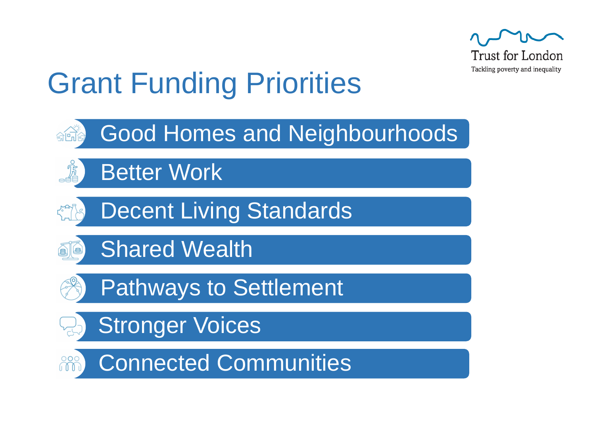

## Grant Funding Priorities

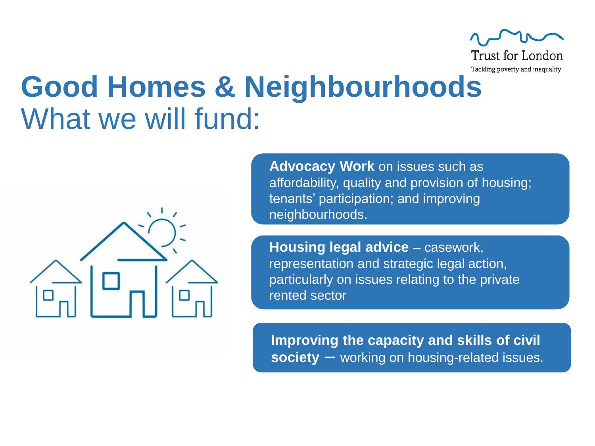

### **Good Homes & Neighbourhoods** What we will fund:



**Advocacy Work** on issues such as affordability, quality and provision of housing; tenants' participation; and improving neighbourhoods.

**Housing legal advice** – casework, representation and strategic legal action, particularly on issues relating to the private rented sector

**Improving the capacity and skills of civil society** - working on housing-related issues.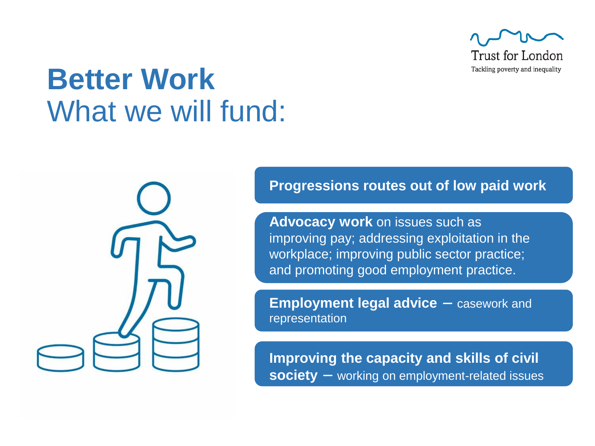

### **Better Work** What we will fund:

**Progressions routes out of low paid work**

**Advocacy work** on issues such as improving pay; addressing exploitation in the workplace; improving public sector practice; and promoting good employment practice.

**Employment legal advice**  $-$  casework and representation

**Improving the capacity and skills of civil** society – working on employment-related issues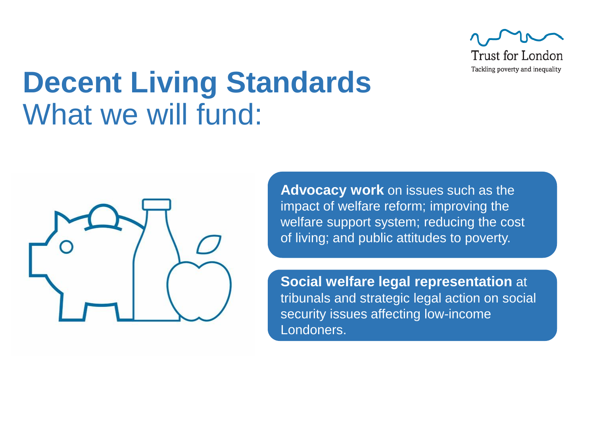

### **Decent Living Standards** What we will fund:



**Advocacy work** on issues such as the impact of welfare reform; improving the welfare support system; reducing the cost of living; and public attitudes to poverty.

**Social welfare legal representation** at tribunals and strategic legal action on social security issues affecting low-income Londoners.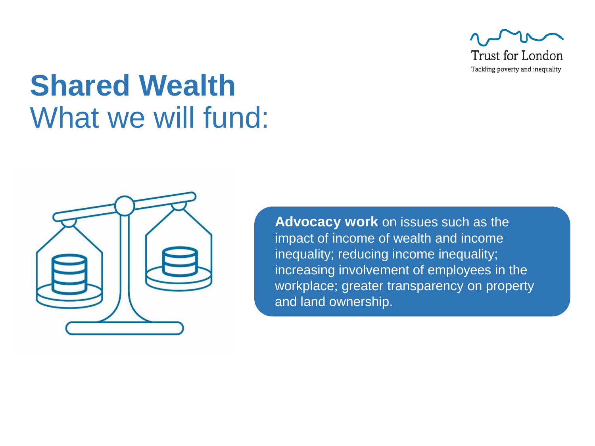

## **Shared Wealth** What we will fund:



**Advocacy work** on issues such as the impact of income of wealth and income inequality; reducing income inequality; increasing involvement of employees in the workplace; greater transparency on property and land ownership.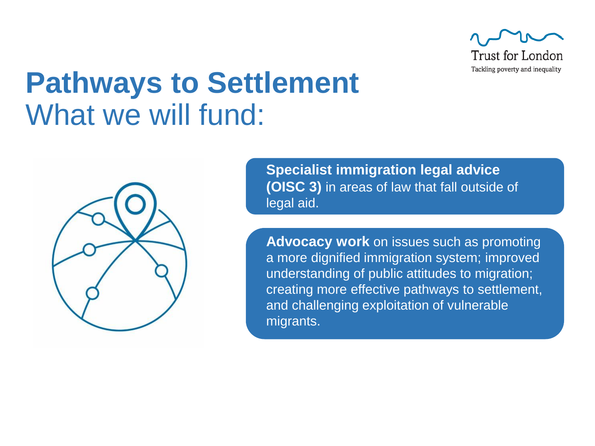

### **Pathways to Settlement** What we will fund:



**Specialist immigration legal advice (OISC 3)** in areas of law that fall outside of legal aid.

**Advocacy work** on issues such as promoting a more dignified immigration system; improved understanding of public attitudes to migration; creating more effective pathways to settlement, and challenging exploitation of vulnerable migrants.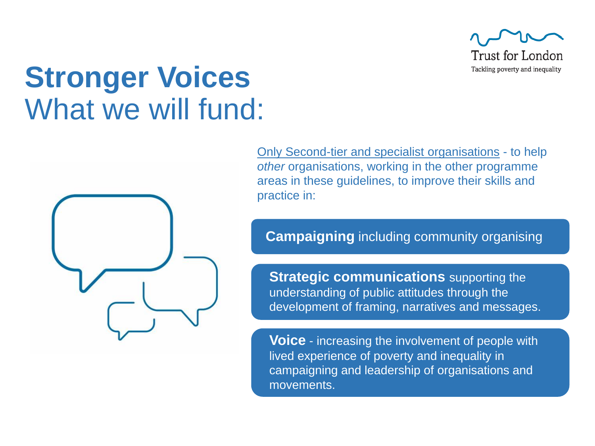

#### **Stronger Voices** What we will fund:



Only Second-tier and specialist organisations - to help *other* organisations, working in the other programme areas in these guidelines, to improve their skills and practice in:

#### **Campaigning** including community organising

**Strategic communications** supporting the understanding of public attitudes through the development of framing, narratives and messages.

**Voice** - increasing the involvement of people with lived experience of poverty and inequality in campaigning and leadership of organisations and movements.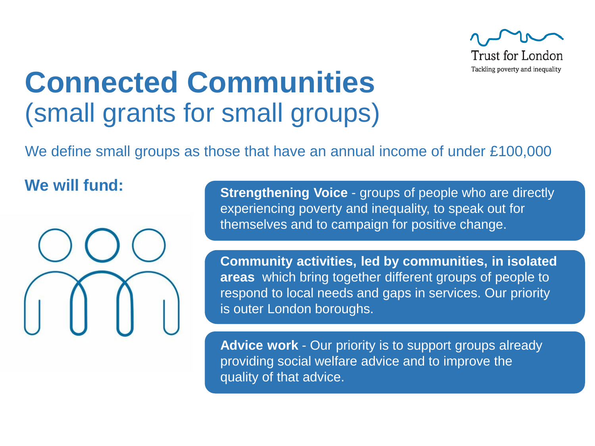

#### **Connected Communities**  (small grants for small groups)

We define small groups as those that have an annual income of under £100,000

#### **We will fund:**



**Strengthening Voice** - groups of people who are directly experiencing poverty and inequality, to speak out for themselves and to campaign for positive change.

**Community activities, led by communities, in isolated areas** which bring together different groups of people to respond to local needs and gaps in services. Our priority is outer London boroughs.

**Advice work** - Our priority is to support groups already providing social welfare advice and to improve the quality of that advice.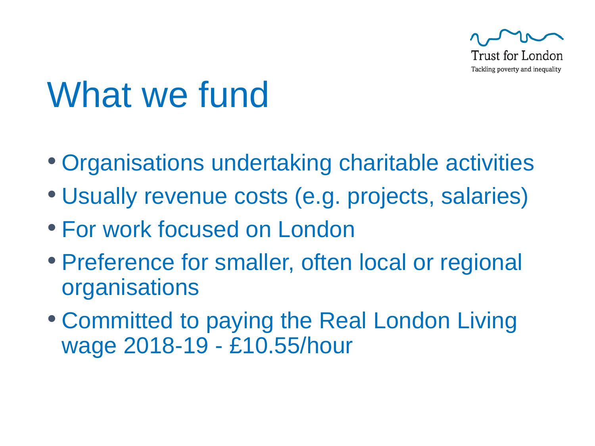

## What we fund

- Organisations undertaking charitable activities
- Usually revenue costs (e.g. projects, salaries)
- For work focused on London
- Preference for smaller, often local or regional **organisations**
- Committed to paying the Real London Living wage 2018-19 - £10.55/hour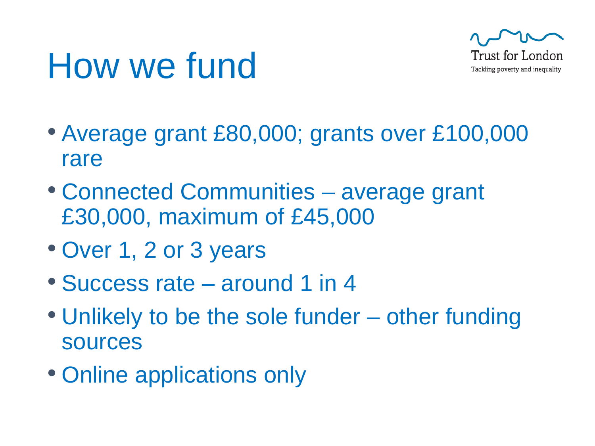## How we fund



- Average grant £80,000; grants over £100,000 rare
- Connected Communities average grant £30,000, maximum of £45,000
- Over 1, 2 or 3 years
- Success rate around 1 in 4
- Unlikely to be the sole funder other funding sources
- Online applications only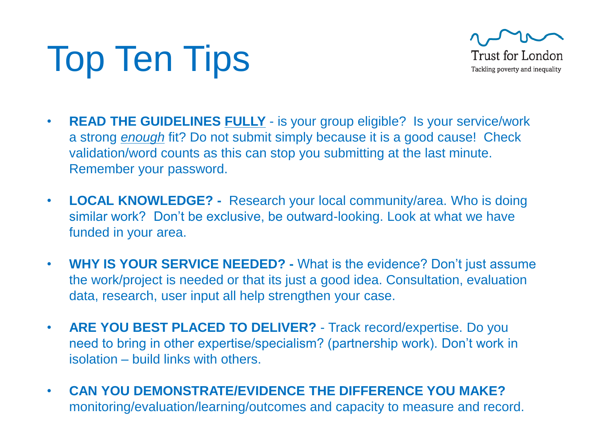# Top Ten Tips



- **READ THE GUIDELINES FULLY** is your group eligible? Is your service/work a strong *enough* fit? Do not submit simply because it is a good cause! Check validation/word counts as this can stop you submitting at the last minute. Remember your password.
- **LOCAL KNOWLEDGE? -** Research your local community/area. Who is doing similar work? Don't be exclusive, be outward-looking. Look at what we have funded in your area.
- **WHY IS YOUR SERVICE NEEDED? -** What is the evidence? Don't just assume the work/project is needed or that its just a good idea. Consultation, evaluation data, research, user input all help strengthen your case.
- **ARE YOU BEST PLACED TO DELIVER?**  Track record/expertise. Do you need to bring in other expertise/specialism? (partnership work). Don't work in isolation – build links with others.
- **CAN YOU DEMONSTRATE/EVIDENCE THE DIFFERENCE YOU MAKE?**  monitoring/evaluation/learning/outcomes and capacity to measure and record.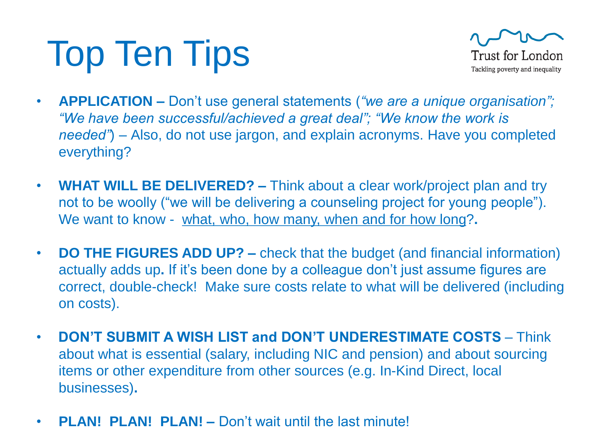## Top Ten Tips



- **APPLICATION –** Don't use general statements (*"we are a unique organisation"; "We have been successful/achieved a great deal"; "We know the work is needed"*) *–* Also, do not use jargon, and explain acronyms. Have you completed everything?
- **WHAT WILL BE DELIVERED? –** Think about a clear work/project plan and try not to be woolly ("we will be delivering a counseling project for young people"). We want to know - what, who, how many, when and for how long?**.**
- **DO THE FIGURES ADD UP? –** check that the budget (and financial information) actually adds up**.** If it's been done by a colleague don't just assume figures are correct, double-check! Make sure costs relate to what will be delivered (including on costs).
- **DON'T SUBMIT A WISH LIST and DON'T UNDERESTIMATE COSTS**  Think about what is essential (salary, including NIC and pension) and about sourcing items or other expenditure from other sources (e.g. In-Kind Direct, local businesses)**.**
- **PLAN! PLAN! PLAN! –** Don't wait until the last minute!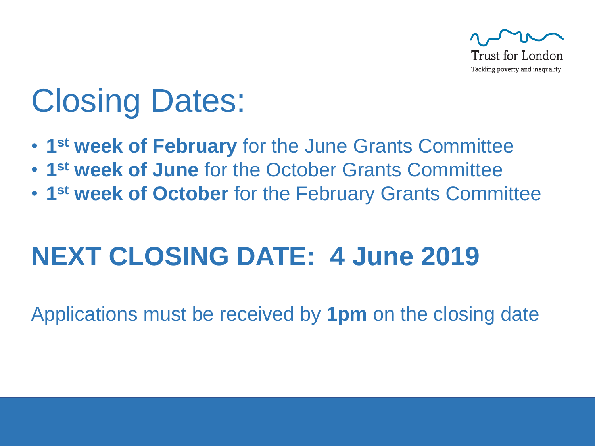

## Closing Dates:

- **1 st week of February** for the June Grants Committee
- **1 st week of June** for the October Grants Committee
- **1 st week of October** for the February Grants Committee

#### **NEXT CLOSING DATE: 4 June 2019**

Applications must be received by **1pm** on the closing date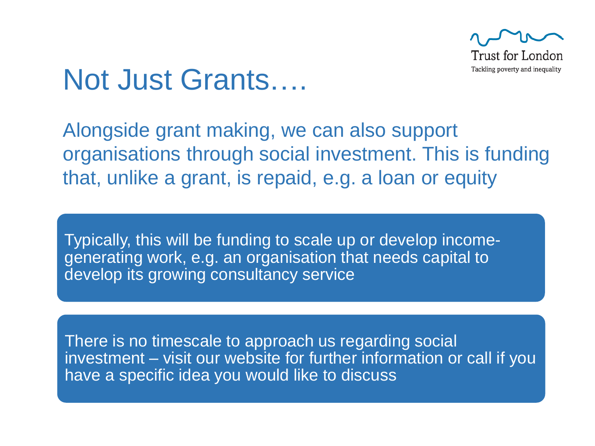

#### Not Just Grants….

Alongside grant making, we can also support organisations through social investment. This is funding that, unlike a grant, is repaid, e.g. a loan or equity

Typically, this will be funding to scale up or develop incomegenerating work, e.g. an organisation that needs capital to develop its growing consultancy service

There is no timescale to approach us regarding social investment – visit our website for further information or call if you have a specific idea you would like to discuss